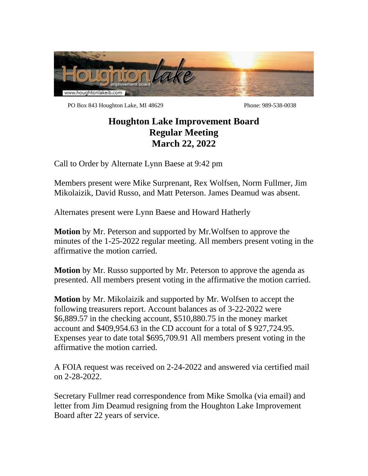

PO Box 843 Houghton Lake, MI 48629 Phone: 989-538-0038

## **Houghton Lake Improvement Board Regular Meeting March 22, 2022**

Call to Order by Alternate Lynn Baese at 9:42 pm

Members present were Mike Surprenant, Rex Wolfsen, Norm Fullmer, Jim Mikolaizik, David Russo, and Matt Peterson. James Deamud was absent.

Alternates present were Lynn Baese and Howard Hatherly

**Motion** by Mr. Peterson and supported by Mr.Wolfsen to approve the minutes of the 1-25-2022 regular meeting. All members present voting in the affirmative the motion carried.

**Motion** by Mr. Russo supported by Mr. Peterson to approve the agenda as presented. All members present voting in the affirmative the motion carried.

**Motion** by Mr. Mikolaizik and supported by Mr. Wolfsen to accept the following treasurers report. Account balances as of 3-22-2022 were \$6,889.57 in the checking account, \$510,880.75 in the money market account and \$409,954.63 in the CD account for a total of \$ 927,724.95. Expenses year to date total \$695,709.91 All members present voting in the affirmative the motion carried.

A FOIA request was received on 2-24-2022 and answered via certified mail on 2-28-2022.

Secretary Fullmer read correspondence from Mike Smolka (via email) and letter from Jim Deamud resigning from the Houghton Lake Improvement Board after 22 years of service.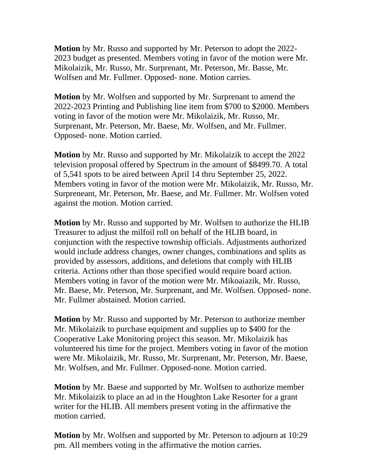**Motion** by Mr. Russo and supported by Mr. Peterson to adopt the 2022- 2023 budget as presented. Members voting in favor of the motion were Mr. Mikolaizik, Mr. Russo, Mr. Surprenant, Mr. Peterson, Mr. Basse, Mr. Wolfsen and Mr. Fullmer. Opposed- none. Motion carries.

**Motion** by Mr. Wolfsen and supported by Mr. Surprenant to amend the 2022-2023 Printing and Publishing line item from \$700 to \$2000. Members voting in favor of the motion were Mr. Mikolaizik, Mr. Russo, Mr. Surprenant, Mr. Peterson, Mr. Baese, Mr. Wolfsen, and Mr. Fullmer. Opposed- none. Motion carried.

**Motion** by Mr. Russo and supported by Mr. Mikolaizik to accept the 2022 television proposal offered by Spectrum in the amount of \$8499.70. A total of 5,541 spots to be aired between April 14 thru September 25, 2022. Members voting in favor of the motion were Mr. Mikolaizik, Mr. Russo, Mr. Surpreneant, Mr. Peterson, Mr. Baese, and Mr. Fullmer. Mr. Wolfsen voted against the motion. Motion carried.

**Motion** by Mr. Russo and supported by Mr. Wolfsen to authorize the HLIB Treasurer to adjust the milfoil roll on behalf of the HLIB board, in conjunction with the respective township officials. Adjustments authorized would include address changes, owner changes, combinations and splits as provided by assessors, additions, and deletions that comply with HLIB criteria. Actions other than those specified would require board action. Members voting in favor of the motion were Mr. Mikoaiazik, Mr. Russo, Mr. Baese, Mr. Peterson, Mr. Surprenant, and Mr. Wolfsen. Opposed- none. Mr. Fullmer abstained. Motion carried.

**Motion** by Mr. Russo and supported by Mr. Peterson to authorize member Mr. Mikolaizik to purchase equipment and supplies up to \$400 for the Cooperative Lake Monitoring project this season. Mr. Mikolaizik has volunteered his time for the project. Members voting in favor of the motion were Mr. Mikolaizik, Mr. Russo, Mr. Surprenant, Mr. Peterson, Mr. Baese, Mr. Wolfsen, and Mr. Fullmer. Opposed-none. Motion carried.

**Motion** by Mr. Baese and supported by Mr. Wolfsen to authorize member Mr. Mikolaizik to place an ad in the Houghton Lake Resorter for a grant writer for the HLIB. All members present voting in the affirmative the motion carried.

**Motion** by Mr. Wolfsen and supported by Mr. Peterson to adjourn at 10:29 pm. All members voting in the affirmative the motion carries.